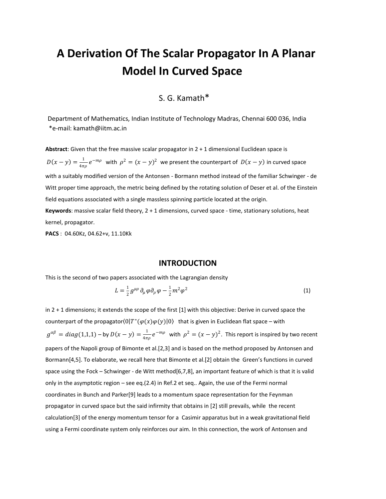# **A Derivation Of The Scalar Propagator In A Planar Model In Curved Space**

## S. G. Kamath\*

 Department of Mathematics, Indian Institute of Technology Madras, Chennai 600 036, India \*e-mail: kamath@iitm.ac.in

**Abstract**: Given that the free massive scalar propagator in 2 + 1 dimensional Euclidean space is  $D(x - y) = \frac{1}{1}$  $\frac{1}{4\pi\rho}e^{-m\rho}$  with  $\rho^2=(x-y)^2$  we present the counterpart of  $D(x-y)$  in curved space with a suitably modified version of the Antonsen - Bormann method instead of the familiar Schwinger - de Witt proper time approach, the metric being defined by the rotating solution of Deser et al. of the Einstein field equations associated with a single massless spinning particle located at the origin. **Keywords**: massive scalar field theory, 2 + 1 dimensions, curved space - time, stationary solutions, heat kernel, propagator.

**PACS** : 04.60Kz, 04.62+v, 11.10Kk

#### **INTRODUCTION**

This is the second of two papers associated with the Lagrangian density

$$
L = \frac{1}{2} g^{\mu \rho} \partial_{\mu} \varphi \partial_{\rho} \varphi - \frac{1}{2} m^2 \varphi^2
$$
 (1)

in 2 + 1 dimensions; it extends the scope of the first [1] with this objective: Derive in curved space the counterpart of the propagator $\langle 0|T^*(\varphi(x)\varphi(y)|0\rangle$  that is given in Euclidean flat space – with  $g^{\alpha\beta} = diag(1,1,1) - by D(x - y) = \frac{1}{4\pi}$  $\frac{1}{4\pi\rho}e^{-m\rho}$  with  $\rho^2=(x-y)^2$ . This report is inspired by two recent papers of the Napoli group of Bimonte et al.[2,3] and is based on the method proposed by Antonsen and Bormann[4,5]. To elaborate, we recall here that Bimonte et al.[2] obtain the Green's functions in curved space using the Fock – Schwinger - de Witt method[6,7,8], an important feature of which is that it is valid only in the asymptotic region – see eq.(2.4) in Ref.2 et seq.. Again, the use of the Fermi normal coordinates in Bunch and Parker[9] leads to a momentum space representation for the Feynman propagator in curved space but the said infirmity that obtains in [2] still prevails, while the recent calculation[3] of the energy momentum tensor for a Casimir apparatus but in a weak gravitational field using a Fermi coordinate system only reinforces our aim. In this connection, the work of Antonsen and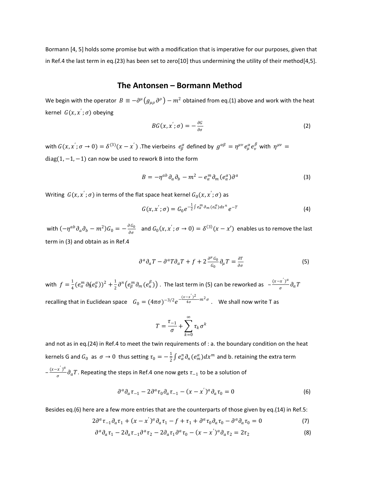Bormann [4, 5] holds some promise but with a modification that is imperative for our purposes, given that in Ref.4 the last term in eq.(23) has been set to zero[10] thus undermining the utility of their method[4,5].

### **The Antonsen – Bormann Method**

We begin with the operator  $\ B\equiv -\partial^\mu\big(g_{\mu\rho}\,\partial^\rho\big)-m^2$  obtained from eq.(1) above and work with the heat kernel  $G(x, x'; \sigma)$  obeying

$$
BG(x, x'; \sigma) = -\frac{\partial G}{\partial \sigma}
$$
 (2)

with  $G(x, x'; \sigma \to 0) = \delta^{(3)}(x-x')$  . The vierbeins  $e^{\alpha}_{\beta}$  defined by  $g^{\alpha\beta} = \eta^{\mu\nu} e^{\alpha}_{\mu} e^{\beta}_{\nu}$  with  $\eta^{\mu\nu} =$ diag(1,  $-1$ ,  $-1$ ) can now be used to rework B into the form

$$
B = -\eta^{ab} \partial_a \partial_b - m^2 - e^m_a \partial_m (e^a_a) \partial^a \tag{3}
$$

Writing  $G(x, x^{'}; \sigma)$  in terms of the flat space heat kernel  $G_0(x, x^{'}; \sigma)$  as

$$
G(x, x'; \sigma) = G_0 e^{-\frac{1}{2} \int e_n^m \partial_m (e_n^{\alpha}) dx^n} e^{-T}
$$
 (4)

with  $(-\eta^{ab}\,\partial_a\partial_b - m^2)G_0 = -\frac{\partial G_0}{\partial \sigma_a}$  $\frac{\partial G_0}{\partial \sigma}$  and  $G_0(x, x'; \sigma \to 0) = \delta^{(3)}(x - x')$  enables us to remove the last term in (3) and obtain as in Ref.4

$$
\partial^a \partial_a T - \partial^a T \partial_a T + f + 2 \frac{\partial^{\mu} G_0}{G_0} \partial_{\mu} T = \frac{\partial T}{\partial \sigma}
$$
 (5)

with  $f=\frac{1}{4}$  $\frac{1}{4} (e^m_{\alpha} \partial_{\alpha} (e^{\alpha}_b))^2 + \frac{1}{2}$  $\frac{1}{2}\partial^n\bigl(e_\beta^m\partial_m(e_n^\beta)\bigr)$  . The last term in (5) can be reworked as  $\;\;-\frac{(x-x')^a}{\sigma}\;$  $\frac{a}{\sigma}$   $\frac{f}{\sigma}$   $\frac{\partial}{\partial a}$   $T$ recalling that in Euclidean space  $G_0 = (4\pi\sigma)^{-3/2} e^{-\frac{(x-x')^2}{4\sigma}}$  $\frac{-x^{-2}}{4\sigma}$  and  $\sigma^2$  and  $\sigma$  as shall now write T as

$$
T = \frac{\tau_{-1}}{\sigma} + \sum_{k=0}^{\infty} \tau_k \sigma^k
$$

and not as in eq.(24) in Ref.4 to meet the twin requirements of : a. the boundary condition on the heat kernels G and  $G_0$  as  $\sigma \to 0$  thus setting  $\tau_0 = -\frac{1}{2}$  $\frac{1}{2}\int e^n_{\alpha}\partial_n(e^{\alpha}_m)dx^m$  and b. retaining the extra term  $-\frac{(x-x')^a}{(x-x')^a}$  $\frac{\partial f}{\partial \sigma}$   $\partial_a T$ . Repeating the steps in Ref.4 one now gets  $\tau_{-1}$  to be a solution of

$$
\partial^a \partial_a \tau_{-1} - 2 \partial^a \tau_0 \partial_a \tau_{-1} - (x - x')^a \partial_a \tau_0 = 0 \tag{6}
$$

Besides eq.(6) here are a few more entries that are the counterparts of those given by eq.(14) in Ref.5:

$$
2\partial^a \tau_{-1}\partial_a \tau_1 + (x - x^{'})^a \partial_a \tau_1 - f + \tau_1 + \partial^a \tau_0 \partial_a \tau_0 - \partial^a \partial_a \tau_0 = 0
$$
 (7)

$$
\partial^a \partial_a \tau_1 - 2 \partial_a \tau_{-1} \partial^a \tau_2 - 2 \partial_a \tau_1 \partial^a \tau_0 - (x - x')^a \partial_a \tau_2 = 2 \tau_2 \tag{8}
$$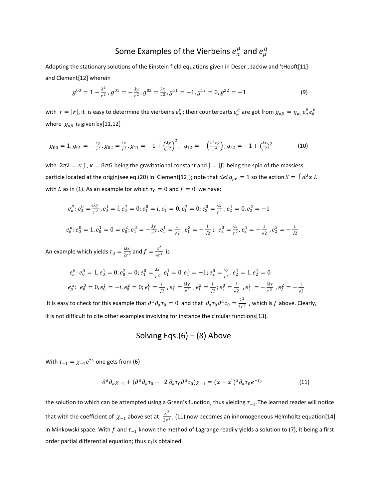## Some Examples of the Vierbeins  $e^\mu_a$  and  $e^\mu_\mu$

Adopting the stationary solutions of the Einstein field equations given in Deser , Jackiw and 'tHooft[11] and Clement[12] wherein

$$
g^{00} = 1 - \frac{\lambda^2}{r^2}, g^{01} = -\frac{\lambda y}{r^2}, g^{02} = \frac{\lambda x}{r^2}, g^{11} = -1, g^{12} = 0, g^{22} = -1
$$
\n(9)

with  $r=|r|$ , it is easy to determine the vierbeins  $e^\mu_a$ ; their counterparts  $e_\mu^a$  are got from  $g_{\alpha\beta}=\eta_{\mu\nu}\,e_\alpha^\mu e_\beta^\nu$ where  $g_{\alpha\beta}$  is given by[11,12]

$$
g_{00} = 1, g_{01} = -\frac{\lambda y}{r^2}, g_{02} = \frac{\lambda x}{r^2}, g_{11} = -1 + \left(\frac{\lambda y}{r^2}\right)^2, g_{12} = -\left(\frac{\lambda^2 xy}{r^4}\right), g_{22} = -1 + \left(\frac{\lambda x}{r^2}\right)^2
$$
(10)

with  $2\pi\lambda = \kappa$  J,  $\kappa = 8\pi G$  being the gravitational constant and J = |J| being the spin of the massless particle located at the origin(see eq.(20) in Clement[12]); note that  $det g_{\mu\nu}=1$  so the action  $S=\int d^3x\,L$ with *L* as in (1). As an example for which  $\tau_0 = 0$  and  $f = 0$  we have:

$$
e_{a}^{\mu}: e_{0}^{0} = \frac{i\lambda y}{r^{2}}, e_{0}^{1} = i, e_{0}^{2} = 0; e_{1}^{0} = i, e_{1}^{1} = 0, e_{1}^{2} = 0; e_{2}^{0} = \frac{\lambda x}{r^{2}}, e_{2}^{1} = 0, e_{2}^{2} = -1
$$
  

$$
e_{\mu}^{a}: e_{0}^{0} = 1, e_{0}^{1} = 0 = e_{0}^{2}; e_{1}^{0} = -\frac{\lambda y}{r^{2}}, e_{1}^{1} = \frac{1}{\sqrt{2}}, e_{1}^{2} = -\frac{1}{\sqrt{2}}; e_{2}^{0} = \frac{\lambda x}{r^{2}}, e_{2}^{1} = -\frac{1}{\sqrt{2}}, e_{2}^{2} = -\frac{1}{\sqrt{2}}
$$

An example which yields  $\tau_0 = \frac{i\lambda x}{2r^2}$  $\frac{i\lambda x}{2r^2}$  and  $f = \frac{\lambda^2}{4r^2}$  $\frac{\pi}{4r^4}$  is :

$$
e_a^{\mu} : e_0^0 = 1, e_0^1 = 0, e_0^2 = 0; e_1^0 = \frac{\lambda x}{r^2}, e_1^1 = 0, e_1^2 = -1; e_2^0 = \frac{\lambda y}{r^2}, e_2^1 = 1, e_2^2 = 0
$$
  

$$
e_\mu^a : e_0^0 = 0, e_0^1 = -i, e_0^2 = 0; e_1^0 = \frac{i}{\sqrt{2}}, e_1^1 = \frac{\lambda y}{r^2}, e_1^2 = \frac{1}{\sqrt{2}}; e_2^0 = \frac{i}{\sqrt{2}}, e_2^1 = -\frac{\lambda x}{r^2}, e_2^2 = -\frac{1}{\sqrt{2}}
$$

It is easy to check for this example that  $\partial^a \partial_a \tau_0 = 0$  and that  $\partial_a \tau_0 \partial^a \tau_0 = \frac{\lambda}{4\pi}$  $\frac{\pi}{4r^4}$  , which is  $f$  above. Clearly, it is not difficult to cite other examples involving for instance the circular functions[13].

## Solving Eqs. $(6) - (8)$  Above

With  $\tau_{-1} = \chi_{-1} e^{\tau_0}$  one gets from (6)

$$
\partial^a \partial_a \chi_{-1} + (\partial^a \partial_a \tau_0 - 2 \partial_a \tau_0 \partial^a \tau_0) \chi_{-1} = (x - x')^a \partial_a \tau_0 e^{-\tau_0}
$$
\n(11)

the solution to which can be attempted using a Green's function, thus yielding  $\tau_{-1}$ .The learned reader will notice that with the coefficient of  $\chi_{-1}$  above set at  $\frac{\lambda^2}{2\pi^2}$  $\frac{\pi}{2r^4}$ , (11) now becomes an inhomogeneous Helmholtz equation[14] in Minkowski space. With  $f$  and  $\tau_{-1}$  known the method of Lagrange readily yields a solution to (7), it being a first order partial differential equation; thus  $\tau_1$  is obtained.